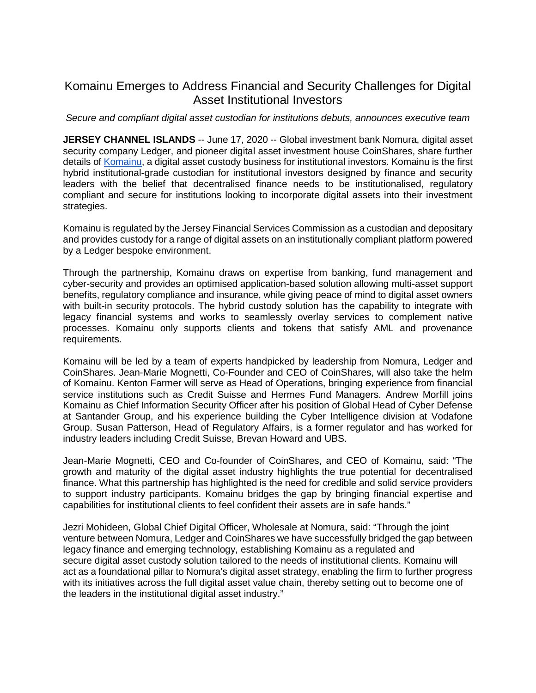# Komainu Emerges to Address Financial and Security Challenges for Digital Asset Institutional Investors

*Secure and compliant digital asset custodian for institutions debuts, announces executive team*

**JERSEY CHANNEL ISLANDS** -- June 17, 2020 -- Global investment bank Nomura, digital asset security company Ledger, and pioneer digital asset investment house CoinShares, share further details of [Komainu,](https://www.komainu.com/) a digital asset custody business for institutional investors. Komainu is the first hybrid institutional-grade custodian for institutional investors designed by finance and security leaders with the belief that decentralised finance needs to be institutionalised, regulatory compliant and secure for institutions looking to incorporate digital assets into their investment strategies.

Komainu is regulated by the Jersey Financial Services Commission as a custodian and depositary and provides custody for a range of digital assets on an institutionally compliant platform powered by a Ledger bespoke environment.

Through the partnership, Komainu draws on expertise from banking, fund management and cyber-security and provides an optimised application-based solution allowing multi-asset support benefits, regulatory compliance and insurance, while giving peace of mind to digital asset owners with built-in security protocols. The hybrid custody solution has the capability to integrate with legacy financial systems and works to seamlessly overlay services to complement native processes. Komainu only supports clients and tokens that satisfy AML and provenance requirements.

Komainu will be led by a team of experts handpicked by leadership from Nomura, Ledger and CoinShares. Jean-Marie Mognetti, Co-Founder and CEO of CoinShares, will also take the helm of Komainu. Kenton Farmer will serve as Head of Operations, bringing experience from financial service institutions such as Credit Suisse and Hermes Fund Managers. Andrew Morfill joins Komainu as Chief Information Security Officer after his position of Global Head of Cyber Defense at Santander Group, and his experience building the Cyber Intelligence division at Vodafone Group. Susan Patterson, Head of Regulatory Affairs, is a former regulator and has worked for industry leaders including Credit Suisse, Brevan Howard and UBS.

Jean-Marie Mognetti, CEO and Co-founder of CoinShares, and CEO of Komainu, said: "The growth and maturity of the digital asset industry highlights the true potential for decentralised finance. What this partnership has highlighted is the need for credible and solid service providers to support industry participants. Komainu bridges the gap by bringing financial expertise and capabilities for institutional clients to feel confident their assets are in safe hands."

Jezri Mohideen, Global Chief Digital Officer, Wholesale at Nomura, said: "Through the joint venture between Nomura, Ledger and CoinShares we have successfully bridged the gap between legacy finance and emerging technology, establishing Komainu as a regulated and secure digital asset custody solution tailored to the needs of institutional clients. Komainu will act as a foundational pillar to Nomura's digital asset strategy, enabling the firm to further progress with its initiatives across the full digital asset value chain, thereby setting out to become one of the leaders in the institutional digital asset industry."